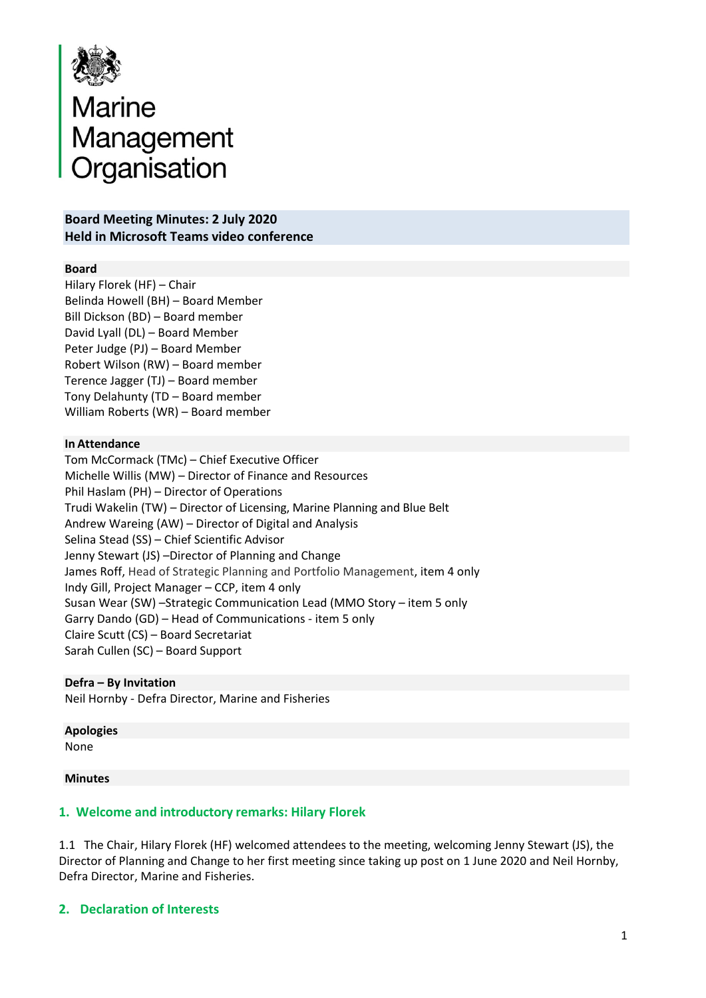

# Marine<br>Management<br>Organisation Organisation

## **Board Meeting Minutes: 2 July 2020 Held in Microsoft Teams video conference**

#### **Board**

Hilary Florek (HF) – Chair Belinda Howell (BH) – Board Member Bill Dickson (BD) – Board member David Lyall (DL) – Board Member Peter Judge (PJ) – Board Member Robert Wilson (RW) – Board member Terence Jagger (TJ) – Board member Tony Delahunty (TD – Board member William Roberts (WR) – Board member

#### **In Attendance**

Tom McCormack (TMc) – Chief Executive Officer Michelle Willis (MW) – Director of Finance and Resources Phil Haslam (PH) – Director of Operations Trudi Wakelin (TW) – Director of Licensing, Marine Planning and Blue Belt Andrew Wareing (AW) – Director of Digital and Analysis Selina Stead (SS) – Chief Scientific Advisor Jenny Stewart (JS) –Director of Planning and Change James Roff, Head of Strategic Planning and Portfolio Management, item 4 only Indy Gill, Project Manager – CCP, item 4 only Susan Wear (SW) –Strategic Communication Lead (MMO Story – item 5 only Garry Dando (GD) – Head of Communications - item 5 only Claire Scutt (CS) – Board Secretariat Sarah Cullen (SC) – Board Support

#### **Defra – By Invitation**

Neil Hornby - Defra Director, Marine and Fisheries

#### **Apologies** None

#### **Minutes**

### **1. Welcome and introductory remarks: Hilary Florek**

1.1 The Chair, Hilary Florek (HF) welcomed attendees to the meeting, welcoming Jenny Stewart (JS), the Director of Planning and Change to her first meeting since taking up post on 1 June 2020 and Neil Hornby, Defra Director, Marine and Fisheries.

#### **2. Declaration of Interests**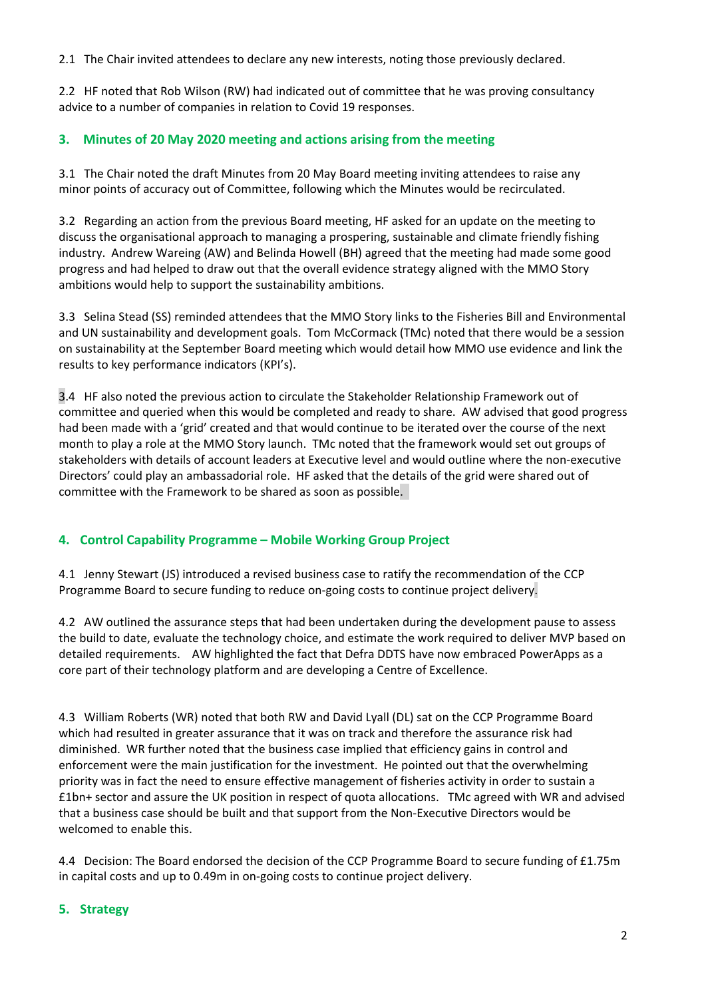2.1 The Chair invited attendees to declare any new interests, noting those previously declared.

2.2 HF noted that Rob Wilson (RW) had indicated out of committee that he was proving consultancy advice to a number of companies in relation to Covid 19 responses.

## **3. Minutes of 20 May 2020 meeting and actions arising from the meeting**

3.1 The Chair noted the draft Minutes from 20 May Board meeting inviting attendees to raise any minor points of accuracy out of Committee, following which the Minutes would be recirculated.

3.2 Regarding an action from the previous Board meeting, HF asked for an update on the meeting to discuss the organisational approach to managing a prospering, sustainable and climate friendly fishing industry. Andrew Wareing (AW) and Belinda Howell (BH) agreed that the meeting had made some good progress and had helped to draw out that the overall evidence strategy aligned with the MMO Story ambitions would help to support the sustainability ambitions.

3.3 Selina Stead (SS) reminded attendees that the MMO Story links to the Fisheries Bill and Environmental and UN sustainability and development goals. Tom McCormack (TMc) noted that there would be a session on sustainability at the September Board meeting which would detail how MMO use evidence and link the results to key performance indicators (KPI's).

3.4 HF also noted the previous action to circulate the Stakeholder Relationship Framework out of committee and queried when this would be completed and ready to share. AW advised that good progress had been made with a 'grid' created and that would continue to be iterated over the course of the next month to play a role at the MMO Story launch. TMc noted that the framework would set out groups of stakeholders with details of account leaders at Executive level and would outline where the non-executive Directors' could play an ambassadorial role. HF asked that the details of the grid were shared out of committee with the Framework to be shared as soon as possible.

## **4. Control Capability Programme – Mobile Working Group Project**

4.1 Jenny Stewart (JS) introduced a revised business case to ratify the recommendation of the CCP Programme Board to secure funding to reduce on-going costs to continue project delivery.

4.2 AW outlined the assurance steps that had been undertaken during the development pause to assess the build to date, evaluate the technology choice, and estimate the work required to deliver MVP based on detailed requirements. AW highlighted the fact that Defra DDTS have now embraced PowerApps as a core part of their technology platform and are developing a Centre of Excellence.

4.3 William Roberts (WR) noted that both RW and David Lyall (DL) sat on the CCP Programme Board which had resulted in greater assurance that it was on track and therefore the assurance risk had diminished. WR further noted that the business case implied that efficiency gains in control and enforcement were the main justification for the investment. He pointed out that the overwhelming priority was in fact the need to ensure effective management of fisheries activity in order to sustain a £1bn+ sector and assure the UK position in respect of quota allocations. TMc agreed with WR and advised that a business case should be built and that support from the Non-Executive Directors would be welcomed to enable this.

4.4 Decision: The Board endorsed the decision of the CCP Programme Board to secure funding of £1.75m in capital costs and up to 0.49m in on-going costs to continue project delivery.

### **5. Strategy**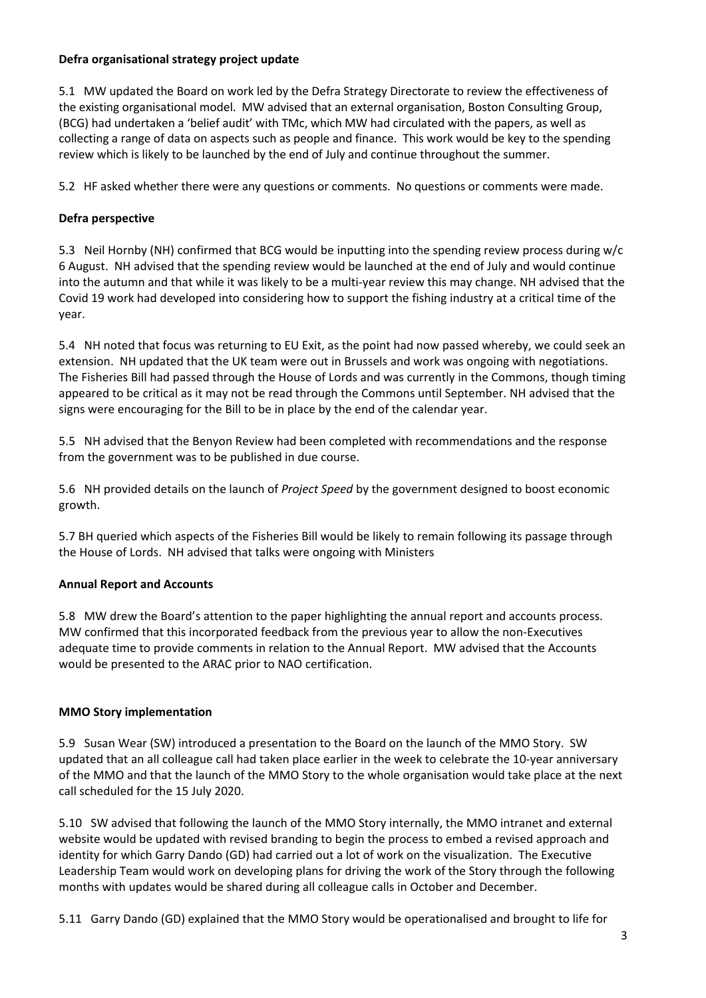### **Defra organisational strategy project update**

5.1 MW updated the Board on work led by the Defra Strategy Directorate to review the effectiveness of the existing organisational model. MW advised that an external organisation, Boston Consulting Group, (BCG) had undertaken a 'belief audit' with TMc, which MW had circulated with the papers, as well as collecting a range of data on aspects such as people and finance. This work would be key to the spending review which is likely to be launched by the end of July and continue throughout the summer.

5.2 HF asked whether there were any questions or comments. No questions or comments were made.

#### **Defra perspective**

5.3 Neil Hornby (NH) confirmed that BCG would be inputting into the spending review process during w/c 6 August. NH advised that the spending review would be launched at the end of July and would continue into the autumn and that while it was likely to be a multi-year review this may change. NH advised that the Covid 19 work had developed into considering how to support the fishing industry at a critical time of the year.

5.4 NH noted that focus was returning to EU Exit, as the point had now passed whereby, we could seek an extension. NH updated that the UK team were out in Brussels and work was ongoing with negotiations. The Fisheries Bill had passed through the House of Lords and was currently in the Commons, though timing appeared to be critical as it may not be read through the Commons until September. NH advised that the signs were encouraging for the Bill to be in place by the end of the calendar year.

5.5 NH advised that the Benyon Review had been completed with recommendations and the response from the government was to be published in due course.

5.6 NH provided details on the launch of *Project Speed* by the government designed to boost economic growth.

5.7 BH queried which aspects of the Fisheries Bill would be likely to remain following its passage through the House of Lords. NH advised that talks were ongoing with Ministers

#### **Annual Report and Accounts**

5.8 MW drew the Board's attention to the paper highlighting the annual report and accounts process. MW confirmed that this incorporated feedback from the previous year to allow the non-Executives adequate time to provide comments in relation to the Annual Report. MW advised that the Accounts would be presented to the ARAC prior to NAO certification.

#### **MMO Story implementation**

5.9 Susan Wear (SW) introduced a presentation to the Board on the launch of the MMO Story. SW updated that an all colleague call had taken place earlier in the week to celebrate the 10-year anniversary of the MMO and that the launch of the MMO Story to the whole organisation would take place at the next call scheduled for the 15 July 2020.

5.10 SW advised that following the launch of the MMO Story internally, the MMO intranet and external website would be updated with revised branding to begin the process to embed a revised approach and identity for which Garry Dando (GD) had carried out a lot of work on the visualization. The Executive Leadership Team would work on developing plans for driving the work of the Story through the following months with updates would be shared during all colleague calls in October and December.

5.11 Garry Dando (GD) explained that the MMO Story would be operationalised and brought to life for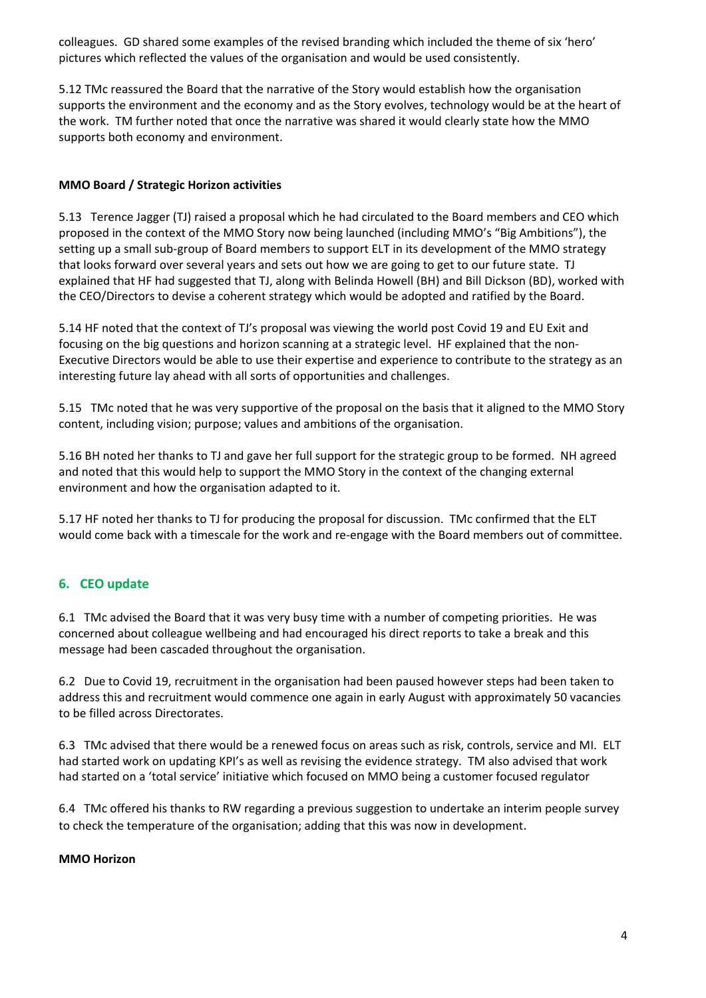colleagues. GD shared some examples of the revised branding which included the theme of six 'hero' pictures which reflected the values of the organisation and would be used consistently.

5.12 TMc reassured the Board that the narrative of the Story would establish how the organisation supports the environment and the economy and as the Story evolves, technology would be at the heart of the work. TM further noted that once the narrative was shared it would clearly state how the MMO supports both economy and environment.

## **MMO Board / Strategic Horizon activities**

5.13 Terence Jagger (TJ) raised a proposal which he had circulated to the Board members and CEO which proposed in the context of the MMO Story now being launched (including MMO's "Big Ambitions"), the setting up a small sub-group of Board members to support ELT in its development of the MMO strategy that looks forward over several years and sets out how we are going to get to our future state. TJ explained that HF had suggested that TJ, along with Belinda Howell (BH) and Bill Dickson (BD), worked with the CEO/Directors to devise a coherent strategy which would be adopted and ratified by the Board.

5.14 HF noted that the context of TJ's proposal was viewing the world post Covid 19 and EU Exit and focusing on the big questions and horizon scanning at a strategic level. HF explained that the non-Executive Directors would be able to use their expertise and experience to contribute to the strategy as an interesting future lay ahead with all sorts of opportunities and challenges.

5.15 TMc noted that he was very supportive of the proposal on the basis that it aligned to the MMO Story content, including vision; purpose; values and ambitions of the organisation.

5.16 BH noted her thanks to TJ and gave her full support for the strategic group to be formed. NH agreed and noted that this would help to support the MMO Story in the context of the changing external environment and how the organisation adapted to it.

5.17 HF noted her thanks to TJ for producing the proposal for discussion. TMc confirmed that the ELT would come back with a timescale for the work and re-engage with the Board members out of committee.

## **6. CEO update**

6.1 TMc advised the Board that it was very busy time with a number of competing priorities. He was concerned about colleague wellbeing and had encouraged his direct reports to take a break and this message had been cascaded throughout the organisation.

6.2 Due to Covid 19, recruitment in the organisation had been paused however steps had been taken to address this and recruitment would commence one again in early August with approximately 50 vacancies to be filled across Directorates.

6.3 TMc advised that there would be a renewed focus on areas such as risk, controls, service and MI. ELT had started work on updating KPI's as well as revising the evidence strategy. TM also advised that work had started on a 'total service' initiative which focused on MMO being a customer focused regulator

6.4 TMc offered his thanks to RW regarding a previous suggestion to undertake an interim people survey to check the temperature of the organisation; adding that this was now in development.

### **MMO Horizon**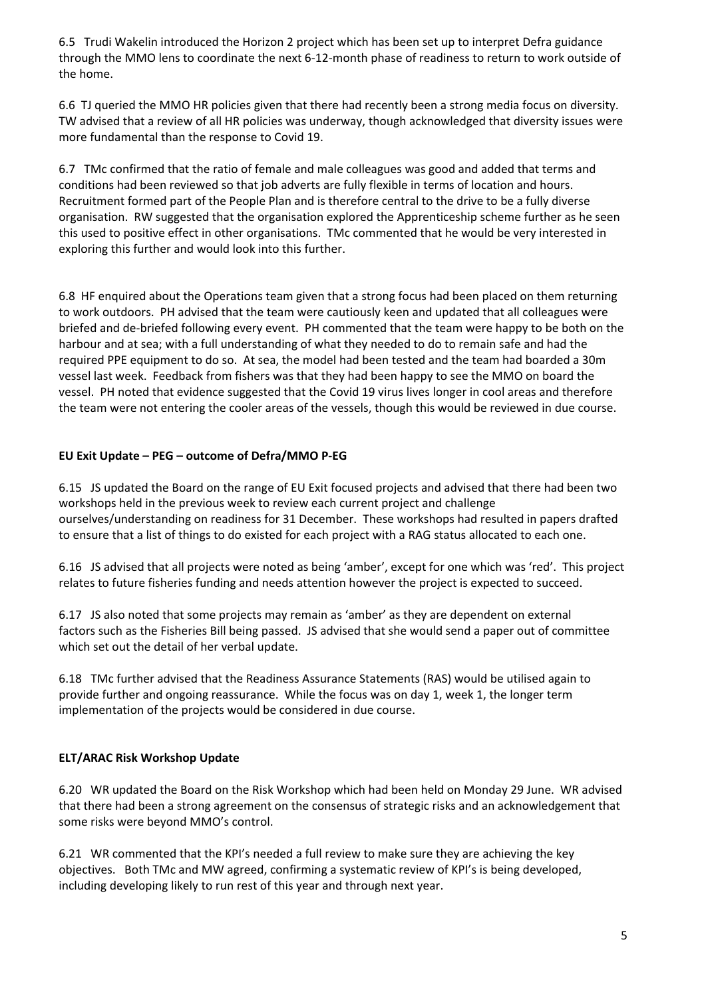6.5 Trudi Wakelin introduced the Horizon 2 project which has been set up to interpret Defra guidance through the MMO lens to coordinate the next 6-12-month phase of readiness to return to work outside of the home.

6.6 TJ queried the MMO HR policies given that there had recently been a strong media focus on diversity. TW advised that a review of all HR policies was underway, though acknowledged that diversity issues were more fundamental than the response to Covid 19.

6.7 TMc confirmed that the ratio of female and male colleagues was good and added that terms and conditions had been reviewed so that job adverts are fully flexible in terms of location and hours. Recruitment formed part of the People Plan and is therefore central to the drive to be a fully diverse organisation. RW suggested that the organisation explored the Apprenticeship scheme further as he seen this used to positive effect in other organisations. TMc commented that he would be very interested in exploring this further and would look into this further.

6.8 HF enquired about the Operations team given that a strong focus had been placed on them returning to work outdoors. PH advised that the team were cautiously keen and updated that all colleagues were briefed and de-briefed following every event. PH commented that the team were happy to be both on the harbour and at sea; with a full understanding of what they needed to do to remain safe and had the required PPE equipment to do so. At sea, the model had been tested and the team had boarded a 30m vessel last week. Feedback from fishers was that they had been happy to see the MMO on board the vessel. PH noted that evidence suggested that the Covid 19 virus lives longer in cool areas and therefore the team were not entering the cooler areas of the vessels, though this would be reviewed in due course.

### **EU Exit Update – PEG – outcome of Defra/MMO P-EG**

6.15 JS updated the Board on the range of EU Exit focused projects and advised that there had been two workshops held in the previous week to review each current project and challenge ourselves/understanding on readiness for 31 December. These workshops had resulted in papers drafted to ensure that a list of things to do existed for each project with a RAG status allocated to each one.

6.16 JS advised that all projects were noted as being 'amber', except for one which was 'red'. This project relates to future fisheries funding and needs attention however the project is expected to succeed.

6.17 JS also noted that some projects may remain as 'amber' as they are dependent on external factors such as the Fisheries Bill being passed. JS advised that she would send a paper out of committee which set out the detail of her verbal update.

6.18 TMc further advised that the Readiness Assurance Statements (RAS) would be utilised again to provide further and ongoing reassurance. While the focus was on day 1, week 1, the longer term implementation of the projects would be considered in due course.

### **ELT/ARAC Risk Workshop Update**

6.20 WR updated the Board on the Risk Workshop which had been held on Monday 29 June. WR advised that there had been a strong agreement on the consensus of strategic risks and an acknowledgement that some risks were beyond MMO's control.

6.21 WR commented that the KPI's needed a full review to make sure they are achieving the key objectives. Both TMc and MW agreed, confirming a systematic review of KPI's is being developed, including developing likely to run rest of this year and through next year.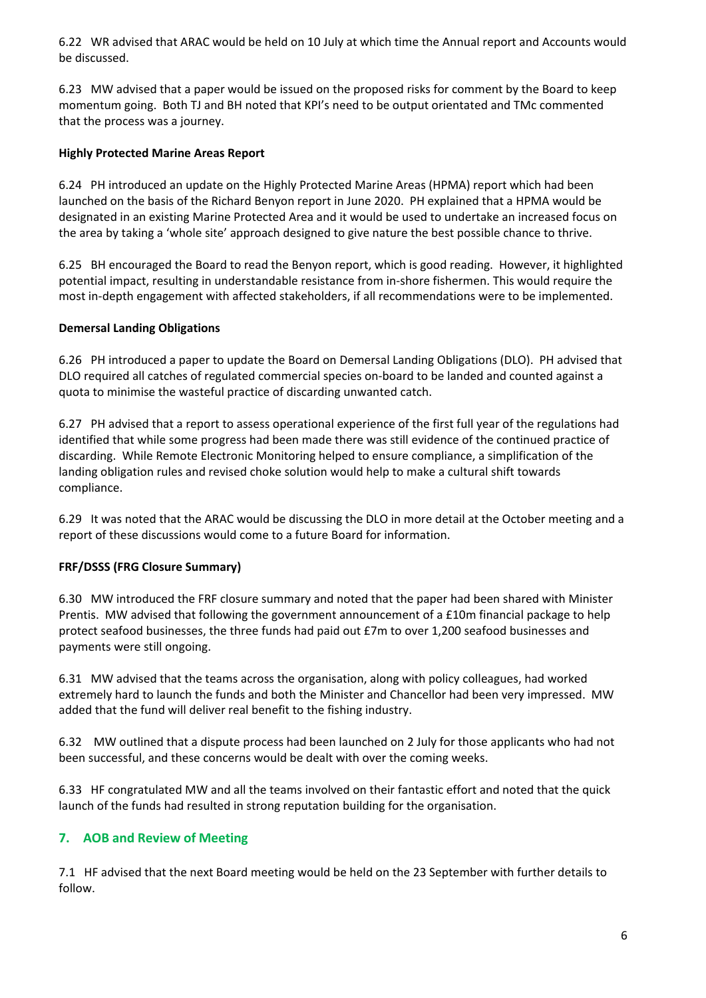6.22 WR advised that ARAC would be held on 10 July at which time the Annual report and Accounts would be discussed.

6.23 MW advised that a paper would be issued on the proposed risks for comment by the Board to keep momentum going. Both TJ and BH noted that KPI's need to be output orientated and TMc commented that the process was a journey.

#### **Highly Protected Marine Areas Report**

6.24 PH introduced an update on the Highly Protected Marine Areas (HPMA) report which had been launched on the basis of the Richard Benyon report in June 2020. PH explained that a HPMA would be designated in an existing Marine Protected Area and it would be used to undertake an increased focus on the area by taking a 'whole site' approach designed to give nature the best possible chance to thrive.

6.25 BH encouraged the Board to read the Benyon report, which is good reading. However, it highlighted potential impact, resulting in understandable resistance from in-shore fishermen. This would require the most in-depth engagement with affected stakeholders, if all recommendations were to be implemented.

#### **Demersal Landing Obligations**

6.26 PH introduced a paper to update the Board on Demersal Landing Obligations (DLO). PH advised that DLO required all catches of regulated commercial species on-board to be landed and counted against a quota to minimise the wasteful practice of discarding unwanted catch.

6.27 PH advised that a report to assess operational experience of the first full year of the regulations had identified that while some progress had been made there was still evidence of the continued practice of discarding. While Remote Electronic Monitoring helped to ensure compliance, a simplification of the landing obligation rules and revised choke solution would help to make a cultural shift towards compliance.

6.29 It was noted that the ARAC would be discussing the DLO in more detail at the October meeting and a report of these discussions would come to a future Board for information.

### **FRF/DSSS (FRG Closure Summary)**

6.30 MW introduced the FRF closure summary and noted that the paper had been shared with Minister Prentis. MW advised that following the government announcement of a £10m financial package to help protect seafood businesses, the three funds had paid out £7m to over 1,200 seafood businesses and payments were still ongoing.

6.31 MW advised that the teams across the organisation, along with policy colleagues, had worked extremely hard to launch the funds and both the Minister and Chancellor had been very impressed. MW added that the fund will deliver real benefit to the fishing industry.

6.32 MW outlined that a dispute process had been launched on 2 July for those applicants who had not been successful, and these concerns would be dealt with over the coming weeks.

6.33 HF congratulated MW and all the teams involved on their fantastic effort and noted that the quick launch of the funds had resulted in strong reputation building for the organisation.

### **7. AOB and Review of Meeting**

7.1 HF advised that the next Board meeting would be held on the 23 September with further details to follow.